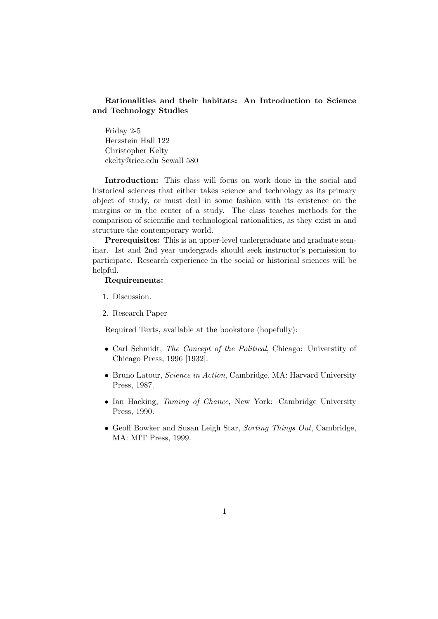### Rationalities and their habitats: An Introduction to Science and Technology Studies

Friday 2-5 Herzstein Hall 122 Christopher Kelty ckelty@rice.edu Sewall 580

Introduction: This class will focus on work done in the social and historical sciences that either takes science and technology as its primary object of study, or must deal in some fashion with its existence on the margins or in the center of a study. The class teaches methods for the comparison of scientific and technological rationalities, as they exist in and structure the contemporary world.

Prerequisites: This is an upper-level undergraduate and graduate seminar. 1st and 2nd year undergrads should seek instructor's permission to participate. Research experience in the social or historical sciences will be helpful.

#### Requirements:

- 1. Discussion.
- 2. Research Paper

Required Texts, available at the bookstore (hopefully):

- Carl Schmidt, The Concept of the Political, Chicago: University of Chicago Press, 1996 [1932].
- Bruno Latour, *Science in Action*, Cambridge, MA: Harvard University Press, 1987.
- Ian Hacking, Taming of Chance, New York: Cambridge University Press, 1990.
- Geoff Bowker and Susan Leigh Star, Sorting Things Out, Cambridge, MA: MIT Press, 1999.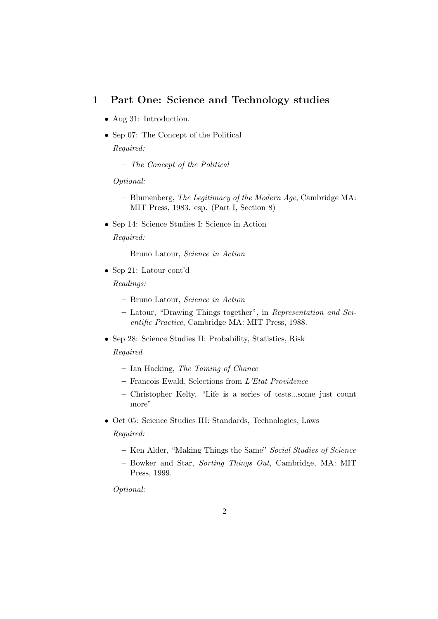## 1 Part One: Science and Technology studies

- Aug 31: Introduction.
- Sep 07: The Concept of the Political Required:
	- The Concept of the Political

Optional:

- Blumenberg, The Legitimacy of the Modern Age, Cambridge MA: MIT Press, 1983. esp. (Part I, Section 8)
- Sep 14: Science Studies I: Science in Action

Required:

- Bruno Latour, Science in Action
- Sep 21: Latour cont'd

Readings:

- Bruno Latour, Science in Action
- Latour, "Drawing Things together", in Representation and Scientific Practice, Cambridge MA: MIT Press, 1988.
- Sep 28: Science Studies II: Probability, Statistics, Risk Required
	- Ian Hacking, The Taming of Chance
	- Francois Ewald, Selections from L'Etat Providence
	- Christopher Kelty, "Life is a series of tests...some just count more"
- Oct 05: Science Studies III: Standards, Technologies, Laws

Required:

- Ken Alder, "Making Things the Same" Social Studies of Science
- Bowker and Star, Sorting Things Out, Cambridge, MA: MIT Press, 1999.

Optional: